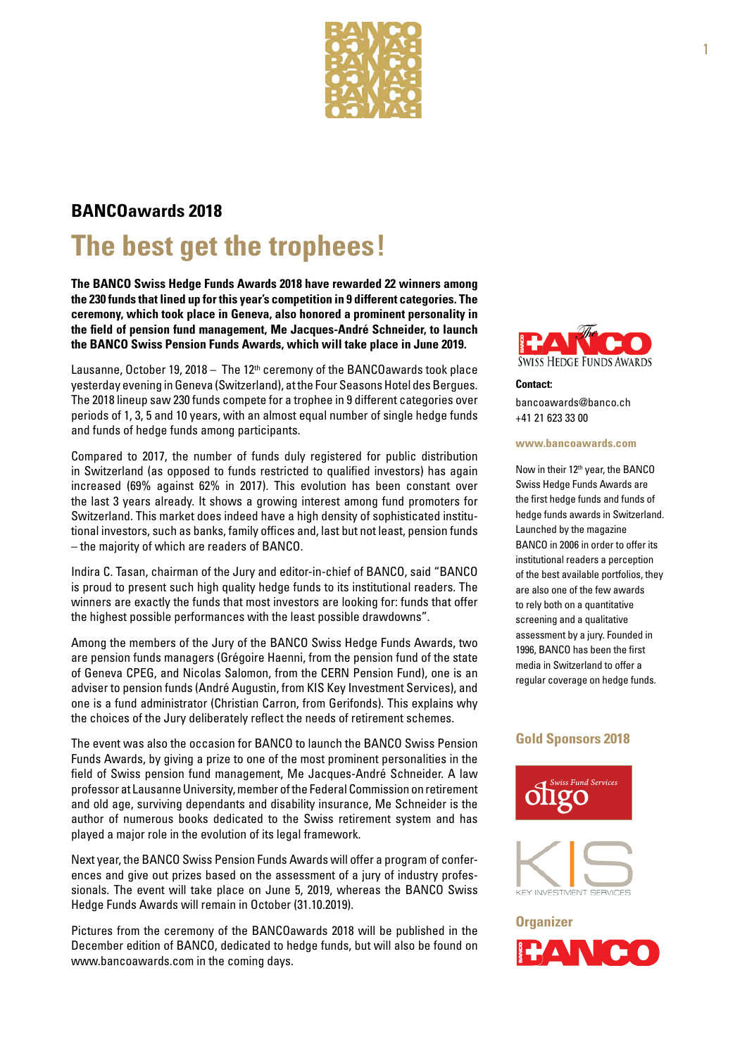

### **BANCOawards 2018**

## **The best get the trophees!**

**The BANCO Swiss Hedge Funds Awards 2018 have rewarded 22 winners among the 230 funds that lined up for this year's competition in 9 different categories. The ceremony, which took place in Geneva, also honored a prominent personality in the field of pension fund management, Me Jacques-André Schneider, to launch the BANCO Swiss Pension Funds Awards, which will take place in June 2019.**

Lausanne, October 19, 2018 – The 12<sup>th</sup> ceremony of the BANCOawards took place yesterday evening in Geneva (Switzerland), at the Four Seasons Hotel des Bergues. The 2018 lineup saw 230 funds compete for a trophee in 9 different categories over periods of 1, 3, 5 and 10 years, with an almost equal number of single hedge funds and funds of hedge funds among participants.

Compared to 2017, the number of funds duly registered for public distribution in Switzerland (as opposed to funds restricted to qualified investors) has again increased (69% against 62% in 2017). This evolution has been constant over the last 3 years already. It shows a growing interest among fund promoters for Switzerland. This market does indeed have a high density of sophisticated institutional investors, such as banks, family offices and, last but not least, pension funds – the majority of which are readers of BANCO.

Indira C. Tasan, chairman of the Jury and editor-in-chief of BANCO, said "BANCO is proud to present such high quality hedge funds to its institutional readers. The winners are exactly the funds that most investors are looking for: funds that offer the highest possible performances with the least possible drawdowns".

Among the members of the Jury of the BANCO Swiss Hedge Funds Awards, two are pension funds managers (Grégoire Haenni, from the pension fund of the state of Geneva CPEG, and Nicolas Salomon, from the CERN Pension Fund), one is an adviser to pension funds (André Augustin, from KIS Key Investment Services), and one is a fund administrator (Christian Carron, from Gerifonds). This explains why the choices of the Jury deliberately reflect the needs of retirement schemes.

The event was also the occasion for BANCO to launch the BANCO Swiss Pension Funds Awards, by giving a prize to one of the most prominent personalities in the field of Swiss pension fund management, Me Jacques-André Schneider. A law professor at Lausanne University, member of the Federal Commission on retirement and old age, surviving dependants and disability insurance, Me Schneider is the author of numerous books dedicated to the Swiss retirement system and has played a major role in the evolution of its legal framework.

Next year, the BANCO Swiss Pension Funds Awards will offer a program of conferences and give out prizes based on the assessment of a jury of industry professionals. The event will take place on June 5, 2019, whereas the BANCO Swiss Hedge Funds Awards will remain in October (31.10.2019).

Pictures from the ceremony of the BANCOawards 2018 will be published in the December edition of BANCO, dedicated to hedge funds, but will also be found on www.bancoawards.com in the coming days.



**Contact:** [bancoawards@banco.ch](mailto:bancoawards@banco.ch) +41 21 623 33 00

#### **[www.bancoawards.com](http://www.bancoawards.com)**

Now in their 12th year, the BANCO Swiss Hedge Funds Awards are the first hedge funds and funds of hedge funds awards in Switzerland. Launched by the magazine BANCO in 2006 in order to offer its institutional readers a perception of the best available portfolios, they are also one of the few awards to rely both on a quantitative screening and a qualitative assessment by a jury. Founded in 1996, BANCO has been the first media in Switzerland to offer a regular coverage on hedge funds.

#### **Gold Sponsors 2018**





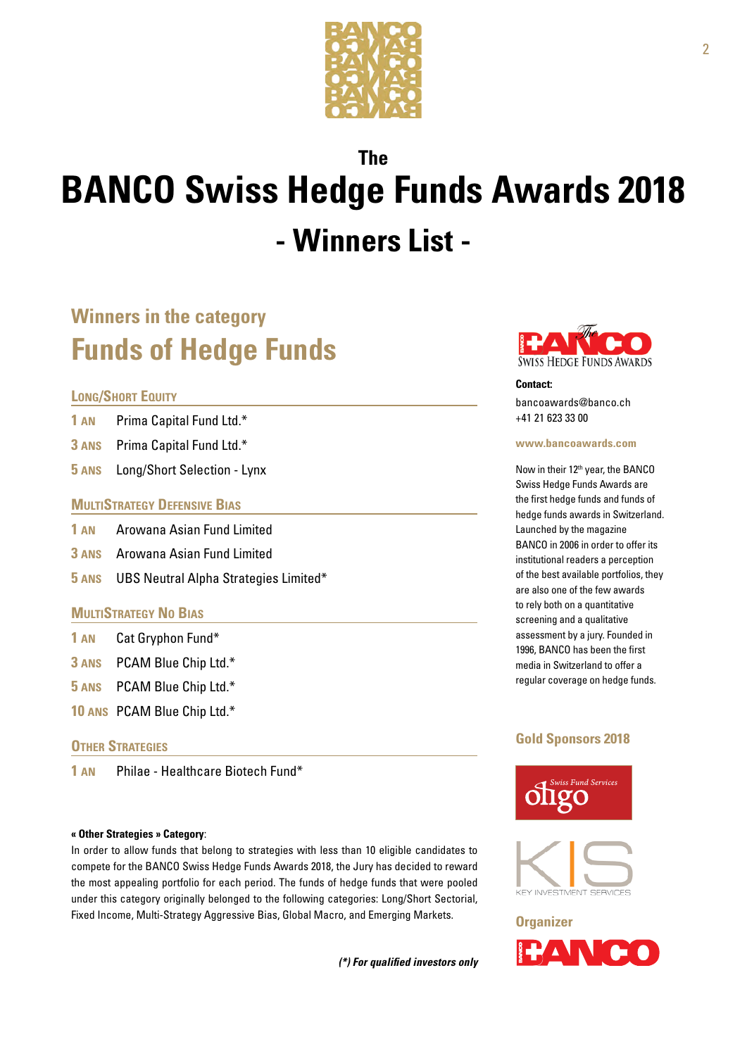

# **The BANCO Swiss Hedge Funds Awards 2018 - Winners List -**

### **Winners in the category Funds of Hedge Funds**

#### **Long/Short Equity**

- **1 an** Prima Capital Fund Ltd.\*
- **3 ans** Prima Capital Fund Ltd.\*
- **5 ans** Long/Short Selection Lynx

#### **MULTISTRATEGY DEFENSIVE BIAS**

- **1 an** Arowana Asian Fund Limited
- **3 ans** Arowana Asian Fund Limited
- **5 ans** UBS Neutral Alpha Strategies Limited\*

#### **MultiStrategy No Bias**

- **1 an** Cat Gryphon Fund\*
- **3 ans** PCAM Blue Chip Ltd.\*
- **5 ans** PCAM Blue Chip Ltd.\*
- **10 ans** PCAM Blue Chip Ltd.\*

#### **OTHER STRATEGIES**

**1 an** Philae - Healthcare Biotech Fund\*

#### **« Other Strategies » Category**:

In order to allow funds that belong to strategies with less than 10 eligible candidates to compete for the BANCO Swiss Hedge Funds Awards 2018, the Jury has decided to reward the most appealing portfolio for each period. The funds of hedge funds that were pooled under this category originally belonged to the following categories: Long/Short Sectorial, Fixed Income, Multi-Strategy Aggressive Bias, Global Macro, and Emerging Markets.

*(\*) For qualified investors only*



#### **Contact:** [bancoawards@banco.ch](mailto:bancoawards@banco.ch) +41 21 623 33 00

#### **[www.bancoawards.com](http://www.bancoawards.com)**

Now in their 12th year, the BANCO Swiss Hedge Funds Awards are the first hedge funds and funds of hedge funds awards in Switzerland. Launched by the magazine BANCO in 2006 in order to offer its institutional readers a perception of the best available portfolios, they are also one of the few awards to rely both on a quantitative screening and a qualitative assessment by a jury. Founded in 1996, BANCO has been the first media in Switzerland to offer a regular coverage on hedge funds.

#### **Gold Sponsors 2018**